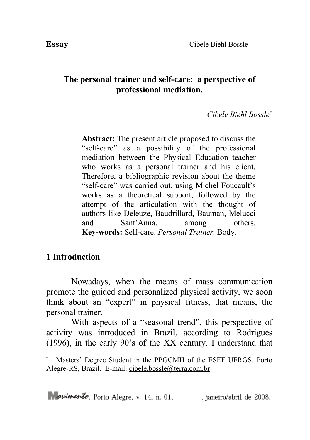## **The personal trainer and self-care: a perspective of professional mediation.**

### *Cibele Biehl Bossle[\\*](#page-0-0)*

**Abstract:** The present article proposed to discuss the "self-care" as a possibility of the professional mediation between the Physical Education teacher who works as a personal trainer and his client. Therefore, a bibliographic revision about the theme "self-care" was carried out, using Michel Foucault's works as a theoretical support, followed by the attempt of the articulation with the thought of authors like Deleuze, Baudrillard, Bauman, Melucci and Sant'Anna, among others. **Key-words:** Self-care. *Personal Trainer.* Body.

## **1 Introduction**

Nowadays, when the means of mass communication promote the guided and personalized physical activity, we soon think about an "expert" in physical fitness, that means, the personal trainer.

With aspects of a "seasonal trend", this perspective of activity was introduced in Brazil, according to Rodrigues (1996), in the early 90's of the XX century. I understand that

<span id="page-0-0"></span><sup>\*</sup> Masters' Degree Student in the PPGCMH of the ESEF UFRGS. Porto Alegre-RS, Brazil. E-mail: [cibele.bossle@terra.com.br](mailto:cibele.bossle@terra.com.br)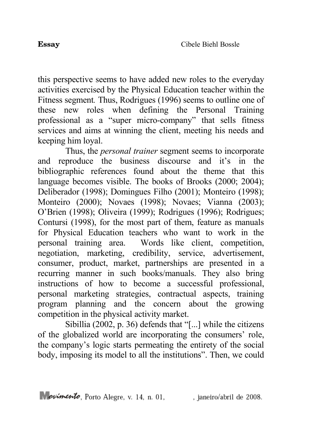this perspective seems to have added new roles to the everyday activities exercised by the Physical Education teacher within the Fitness segment*.* Thus, Rodrigues (1996) seems to outline one of these new roles when defining the Personal Training professional as a "super micro-company" that sells fitness services and aims at winning the client, meeting his needs and keeping him loyal.

Thus, the *personal trainer* segment seems to incorporate and reproduce the business discourse and it's in the bibliographic references found about the theme that this language becomes visible. The books of Brooks (2000; 2004); Deliberador (1998); Domingues Filho (2001); Monteiro (1998); Monteiro (2000); Novaes (1998); Novaes; Vianna (2003); O'Brien (1998); Oliveira (1999); Rodrigues (1996); Rodrigues; Contursi (1998), for the most part of them, feature as manuals for Physical Education teachers who want to work in the personal training area. Words like client, competition, negotiation, marketing, credibility, service, advertisement, consumer, product, market, partnerships are presented in a recurring manner in such books/manuals. They also bring instructions of how to become a successful professional, personal marketing strategies, contractual aspects, training program planning and the concern about the growing competition in the physical activity market.

Sibillia (2002, p. 36) defends that "[...] while the citizens of the globalized world are incorporating the consumers' role, the company's logic starts permeating the entirety of the social body, imposing its model to all the institutions". Then, we could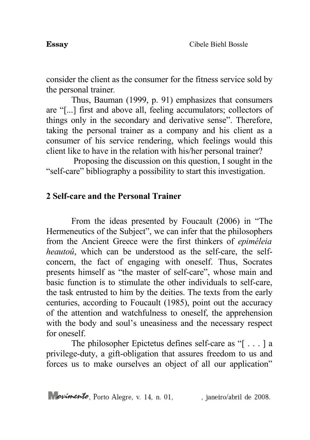consider the client as the consumer for the fitness service sold by the personal trainer*.*

Thus, Bauman (1999, p. 91) emphasizes that consumers are "[...] first and above all, feeling accumulators; collectors of things only in the secondary and derivative sense". Therefore, taking the personal trainer as a company and his client as a consumer of his service rendering, which feelings would this client like to have in the relation with his/her personal trainer?

Proposing the discussion on this question, I sought in the "self-care" bibliography a possibility to start this investigation.

# **2 Self-care and the Personal Trainer**

From the ideas presented by Foucault (2006) in "The Hermeneutics of the Subject", we can infer that the philosophers from the Ancient Greece were the first thinkers of *epiméleia heautoû*, which can be understood as the self-care, the selfconcern, the fact of engaging with oneself. Thus, Socrates presents himself as "the master of self-care", whose main and basic function is to stimulate the other individuals to self-care, the task entrusted to him by the deities. The texts from the early centuries, according to Foucault (1985), point out the accuracy of the attention and watchfulness to oneself, the apprehension with the body and soul's uneasiness and the necessary respect for oneself.

The philosopher Epictetus defines self-care as "[ . . . ] a privilege-duty, a gift-obligation that assures freedom to us and forces us to make ourselves an object of all our application"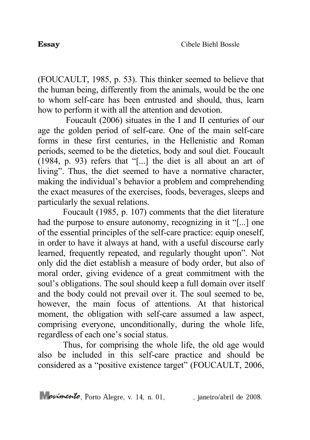(FOUCAULT, 1985, p. 53). This thinker seemed to believe that the human being, differently from the animals, would be the one to whom self-care has been entrusted and should, thus, learn how to perform it with all the attention and devotion.

Foucault (2006) situates in the I and II centuries of our age the golden period of self-care. One of the main self-care forms in these first centuries, in the Hellenistic and Roman periods, seemed to be the dietetics, body and soul diet. Foucault (1984, p. 93) refers that "[...] the diet is all about an art of living". Thus, the diet seemed to have a normative character, making the individual's behavior a problem and comprehending the exact measures of the exercises, foods, beverages, sleeps and particularly the sexual relations.

Foucault (1985, p. 107) comments that the diet literature had the purpose to ensure autonomy, recognizing in it "[...] one of the essential principles of the self-care practice: equip oneself, in order to have it always at hand, with a useful discourse early learned, frequently repeated, and regularly thought upon". Not only did the diet establish a measure of body order, but also of moral order, giving evidence of a great commitment with the soul's obligations. The soul should keep a full domain over itself and the body could not prevail over it. The soul seemed to be, however, the main focus of attentions. At that historical moment, the obligation with self-care assumed a law aspect, comprising everyone, unconditionally, during the whole life, regardless of each one's social status.

Thus, for comprising the whole life, the old age would also be included in this self-care practice and should be considered as a "positive existence target" (FOUCAULT, 2006,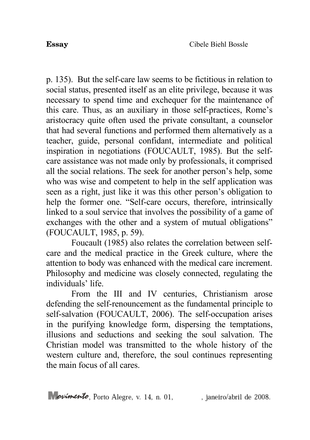p. 135). But the self-care law seems to be fictitious in relation to social status, presented itself as an elite privilege, because it was necessary to spend time and exchequer for the maintenance of this care. Thus, as an auxiliary in those self-practices, Rome's aristocracy quite often used the private consultant, a counselor that had several functions and performed them alternatively as a teacher, guide, personal confidant, intermediate and political inspiration in negotiations (FOUCAULT, 1985). But the selfcare assistance was not made only by professionals, it comprised all the social relations. The seek for another person's help, some who was wise and competent to help in the self application was seen as a right, just like it was this other person's obligation to help the former one. "Self-care occurs, therefore, intrinsically linked to a soul service that involves the possibility of a game of exchanges with the other and a system of mutual obligations" (FOUCAULT, 1985, p. 59).

Foucault (1985) also relates the correlation between selfcare and the medical practice in the Greek culture, where the attention to body was enhanced with the medical care increment. Philosophy and medicine was closely connected, regulating the individuals' life.

From the III and IV centuries, Christianism arose defending the self-renouncement as the fundamental principle to self-salvation (FOUCAULT, 2006). The self-occupation arises in the purifying knowledge form, dispersing the temptations, illusions and seductions and seeking the soul salvation. The Christian model was transmitted to the whole history of the western culture and, therefore, the soul continues representing the main focus of all cares.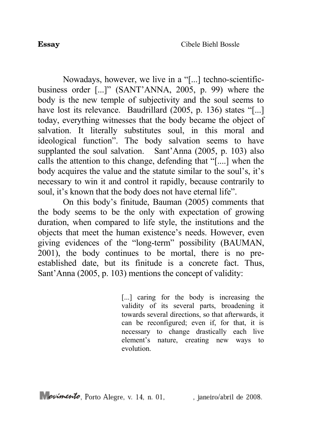Nowadays, however, we live in a "[...] techno-scientificbusiness order [...]" (SANT'ANNA, 2005, p. 99) where the body is the new temple of subjectivity and the soul seems to have lost its relevance. Baudrillard (2005, p. 136) states "[...] today, everything witnesses that the body became the object of salvation. It literally substitutes soul, in this moral and ideological function". The body salvation seems to have supplanted the soul salvation. Sant'Anna (2005, p. 103) also calls the attention to this change, defending that "[....] when the body acquires the value and the statute similar to the soul's, it's necessary to win it and control it rapidly, because contrarily to soul, it's known that the body does not have eternal life".

On this body's finitude, Bauman (2005) comments that the body seems to be the only with expectation of growing duration, when compared to life style, the institutions and the objects that meet the human existence's needs. However, even giving evidences of the "long-term" possibility (BAUMAN, 2001), the body continues to be mortal, there is no preestablished date, but its finitude is a concrete fact. Thus, Sant'Anna (2005, p. 103) mentions the concept of validity:

> [...] caring for the body is increasing the validity of its several parts, broadening it towards several directions, so that afterwards, it can be reconfigured; even if, for that, it is necessary to change drastically each live element's nature, creating new ways to evolution.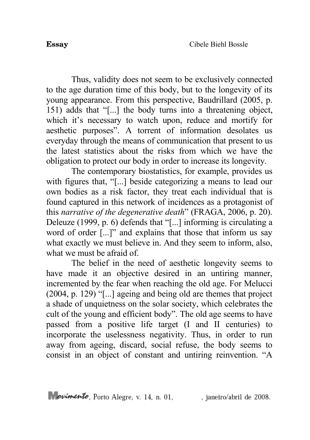Thus, validity does not seem to be exclusively connected to the age duration time of this body, but to the longevity of its young appearance. From this perspective, Baudrillard (2005, p. 151) adds that "[...] the body turns into a threatening object, which it's necessary to watch upon, reduce and mortify for aesthetic purposes". A torrent of information desolates us everyday through the means of communication that present to us the latest statistics about the risks from which we have the obligation to protect our body in order to increase its longevity.

The contemporary biostatistics, for example, provides us with figures that, "[...] beside categorizing a means to lead our own bodies as a risk factor, they treat each individual that is found captured in this network of incidences as a protagonist of this *narrative of the degenerative death*" (FRAGA, 2006, p. 20). Deleuze (1999, p. 6) defends that "[...] informing is circulating a word of order [...]" and explains that those that inform us say what exactly we must believe in. And they seem to inform, also, what we must be afraid of

The belief in the need of aesthetic longevity seems to have made it an objective desired in an untiring manner, incremented by the fear when reaching the old age. For Melucci (2004, p. 129) "[...] ageing and being old are themes that project a shade of unquietness on the solar society, which celebrates the cult of the young and efficient body". The old age seems to have passed from a positive life target (I and II centuries) to incorporate the uselessness negativity. Thus, in order to run away from ageing, discard, social refuse, the body seems to consist in an object of constant and untiring reinvention. "A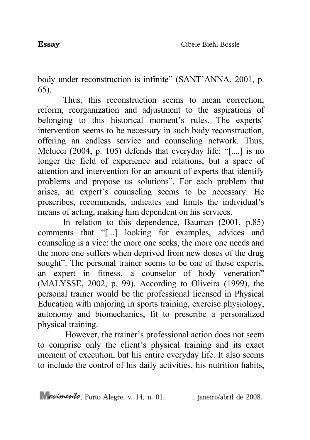body under reconstruction is infinite" (SANT'ANNA, 2001, p. 65).

Thus, this reconstruction seems to mean correction, reform, reorganization and adjustment to the aspirations of belonging to this historical moment's rules. The experts' intervention seems to be necessary in such body reconstruction, offering an endless service and counseling network. Thus, Melucci (2004, p. 105) defends that everyday life: "[....] is no longer the field of experience and relations, but a space of attention and intervention for an amount of experts that identify problems and propose us solutions". For each problem that arises, an expert's counseling seems to be necessary. He prescribes, recommends, indicates and limits the individual's means of acting, making him dependent on his services.

In relation to this dependence, Bauman (2001, p.85) comments that "[...] looking for examples, advices and counseling is a vice: the more one seeks, the more one needs and the more one suffers when deprived from new doses of the drug sought". The personal trainer seems to be one of those experts, an expert in fitness, a counselor of body veneration" (MALYSSE, 2002, p. 99). According to Oliveira (1999), the personal trainer would be the professional licensed in Physical Education with majoring in sports training, exercise physiology, autonomy and biomechanics, fit to prescribe a personalized physical training.

However, the trainer's professional action does not seem to comprise only the client's physical training and its exact moment of execution, but his entire everyday life. It also seems to include the control of his daily activities, his nutrition habits,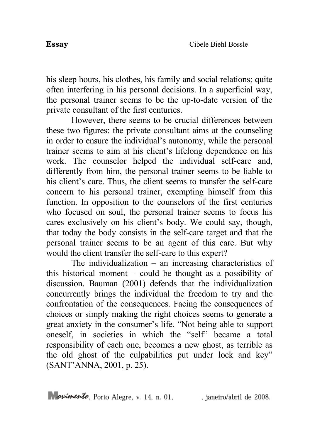his sleep hours, his clothes, his family and social relations; quite often interfering in his personal decisions. In a superficial way, the personal trainer seems to be the up-to-date version of the private consultant of the first centuries.

However, there seems to be crucial differences between these two figures: the private consultant aims at the counseling in order to ensure the individual's autonomy, while the personal trainer seems to aim at his client's lifelong dependence on his work. The counselor helped the individual self-care and, differently from him, the personal trainer seems to be liable to his client's care. Thus, the client seems to transfer the self-care concern to his personal trainer, exempting himself from this function. In opposition to the counselors of the first centuries who focused on soul, the personal trainer seems to focus his cares exclusively on his client's body. We could say, though, that today the body consists in the self-care target and that the personal trainer seems to be an agent of this care. But why would the client transfer the self-care to this expert?

The individualization – an increasing characteristics of this historical moment – could be thought as a possibility of discussion. Bauman (2001) defends that the individualization concurrently brings the individual the freedom to try and the confrontation of the consequences. Facing the consequences of choices or simply making the right choices seems to generate a great anxiety in the consumer's life. "Not being able to support oneself, in societies in which the "self" became a total responsibility of each one, becomes a new ghost, as terrible as the old ghost of the culpabilities put under lock and key" (SANT'ANNA, 2001, p. 25).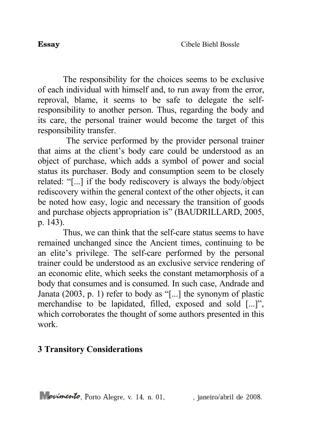The responsibility for the choices seems to be exclusive of each individual with himself and, to run away from the error, reproval, blame, it seems to be safe to delegate the selfresponsibility to another person. Thus, regarding the body and its care, the personal trainer would become the target of this responsibility transfer.

The service performed by the provider personal trainer that aims at the client's body care could be understood as an object of purchase, which adds a symbol of power and social status its purchaser. Body and consumption seem to be closely related: "[...] if the body rediscovery is always the body/object rediscovery within the general context of the other objects, it can be noted how easy, logic and necessary the transition of goods and purchase objects appropriation is" (BAUDRILLARD, 2005, p. 143).

Thus, we can think that the self-care status seems to have remained unchanged since the Ancient times, continuing to be an elite's privilege. The self-care performed by the personal trainer could be understood as an exclusive service rendering of an economic elite, which seeks the constant metamorphosis of a body that consumes and is consumed. In such case, Andrade and Janata (2003, p. 1) refer to body as "[...] the synonym of plastic merchandise to be lapidated, filled, exposed and sold [...]", which corroborates the thought of some authors presented in this work.

### **3 Transitory Considerations**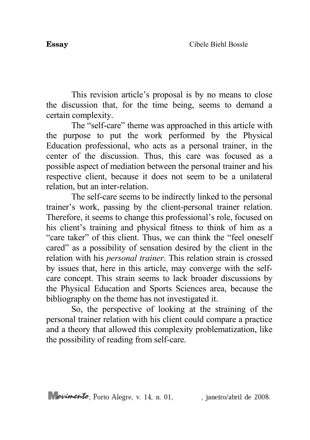This revision article's proposal is by no means to close the discussion that, for the time being, seems to demand a certain complexity.

The "self-care" theme was approached in this article with the purpose to put the work performed by the Physical Education professional, who acts as a personal trainer, in the center of the discussion. Thus, this care was focused as a possible aspect of mediation between the personal trainer and his respective client, because it does not seem to be a unilateral relation, but an inter-relation.

The self-care seems to be indirectly linked to the personal trainer's work, passing by the client-personal trainer relation. Therefore, it seems to change this professional's role, focused on his client's training and physical fitness to think of him as a "care taker" of this client. Thus, we can think the "feel oneself cared" as a possibility of sensation desired by the client in the relation with his *personal trainer*. This relation strain is crossed by issues that, here in this article, may converge with the selfcare concept. This strain seems to lack broader discussions by the Physical Education and Sports Sciences area, because the bibliography on the theme has not investigated it.

So, the perspective of looking at the straining of the personal trainer relation with his client could compare a practice and a theory that allowed this complexity problematization, like the possibility of reading from self-care.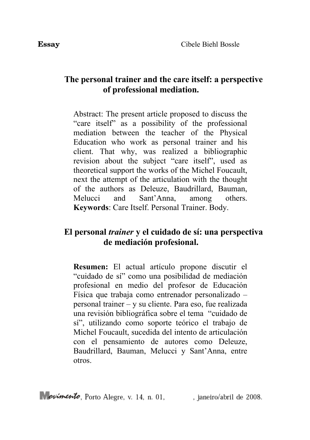### **The personal trainer and the care itself: a perspective of professional mediation.**

Abstract: The present article proposed to discuss the "care itself" as a possibility of the professional mediation between the teacher of the Physical Education who work as personal trainer and his client. That why, was realized a bibliographic revision about the subject "care itself", used as theoretical support the works of the Michel Foucault, next the attempt of the articulation with the thought of the authors as Deleuze, Baudrillard, Bauman, Melucci and Sant'Anna, among others. **Keywords**: Care Itself. Personal Trainer. Body.

## **El personal** *trainer* **y el cuidado de sí: una perspectiva de mediación profesional.**

**Resumen:** El actual artículo propone discutir el "cuidado de sí" como una posibilidad de mediación profesional en medio del profesor de Educación Física que trabaja como entrenador personalizado – personal trainer – y su cliente. Para eso, fue realizada una revisión bibliográfica sobre el tema "cuidado de sí", utilizando como soporte teórico el trabajo de Michel Foucault, sucedida del intento de articulación con el pensamiento de autores como Deleuze, Baudrillard, Bauman, Melucci y Sant'Anna, entre otros.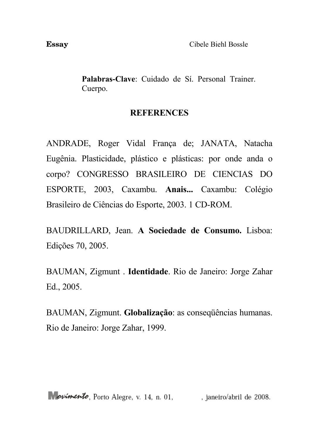**Palabras-Clave**: Cuidado de Sí. Personal Trainer. Cuerpo.

### **REFERENCES**

ANDRADE, Roger Vidal França de; JANATA, Natacha Eugênia. Plasticidade, plástico e plásticas: por onde anda o corpo? CONGRESSO BRASILEIRO DE CIENCIAS DO ESPORTE, 2003, Caxambu. **Anais...** Caxambu: Colégio Brasileiro de Ciências do Esporte, 2003. 1 CD-ROM.

BAUDRILLARD, Jean. **A Sociedade de Consumo.** Lisboa: Edições 70, 2005.

BAUMAN, Zigmunt . **Identidade**. Rio de Janeiro: Jorge Zahar Ed., 2005.

BAUMAN, Zigmunt. **Globalização**: as conseqüências humanas. Rio de Janeiro: Jorge Zahar, 1999.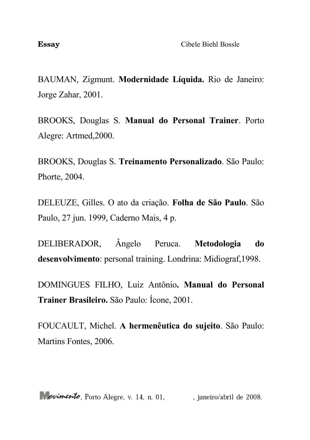BAUMAN, Zigmunt. **Modernidade Líquida.** Rio de Janeiro: Jorge Zahar, 2001.

BROOKS, Douglas S. **Manual do Personal Trainer**. Porto Alegre: Artmed,2000.

BROOKS, Douglas S. **Treinamento Personalizado**. São Paulo: Phorte, 2004.

DELEUZE, Gilles. O ato da criação. **Folha de São Paulo**. São Paulo, 27 jun. 1999, Caderno Mais, 4 p.

DELIBERADOR, Ângelo Peruca. **Metodologia do desenvolvimento**: personal training. Londrina: Midiograf,1998.

DOMINGUES FILHO, Luiz Antônio**. Manual do Personal Trainer Brasileiro.** São Paulo: Ícone, 2001.

FOUCAULT, Michel. **A hermenêutica do sujeito**. São Paulo: Martins Fontes, 2006.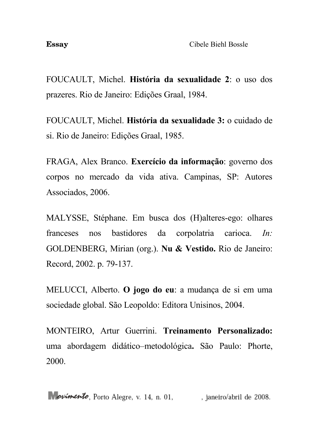FOUCAULT, Michel. **História da sexualidade 2**: o uso dos prazeres. Rio de Janeiro: Edições Graal, 1984.

FOUCAULT, Michel. **História da sexualidade 3:** o cuidado de si. Rio de Janeiro: Edições Graal, 1985.

FRAGA, Alex Branco. **Exercício da informação**: governo dos corpos no mercado da vida ativa. Campinas, SP: Autores Associados, 2006.

MALYSSE, Stéphane. Em busca dos (H)alteres-ego: olhares franceses nos bastidores da corpolatria carioca. *In:* GOLDENBERG, Mirian (org.). **Nu & Vestido.** Rio de Janeiro: Record, 2002. p. 79-137.

MELUCCI, Alberto. **O jogo do eu**: a mudança de si em uma sociedade global. São Leopoldo: Editora Unisinos, 2004.

MONTEIRO, Artur Guerrini. **Treinamento Personalizado:** uma abordagem didático–metodológica**.** São Paulo: Phorte, 2000.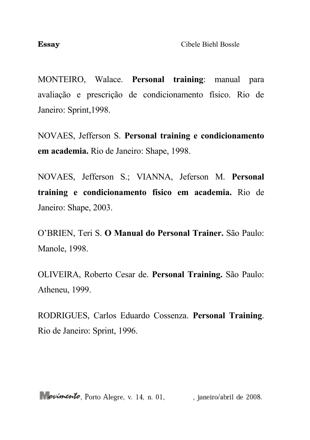MONTEIRO, Walace. **Personal training**: manual para avaliação e prescrição de condicionamento físico. Rio de Janeiro: Sprint,1998.

NOVAES, Jefferson S. **Personal training e condicionamento em academia.** Rio de Janeiro: Shape, 1998.

NOVAES, Jefferson S.; VIANNA, Jeferson M. **Personal training e condicionamento físico em academia.** Rio de Janeiro: Shape, 2003.

O'BRIEN, Teri S. **O Manual do Personal Trainer.** São Paulo: Manole, 1998.

OLIVEIRA, Roberto Cesar de. **Personal Training.** São Paulo: Atheneu, 1999.

RODRIGUES, Carlos Eduardo Cossenza. **Personal Training**. Rio de Janeiro: Sprint, 1996.